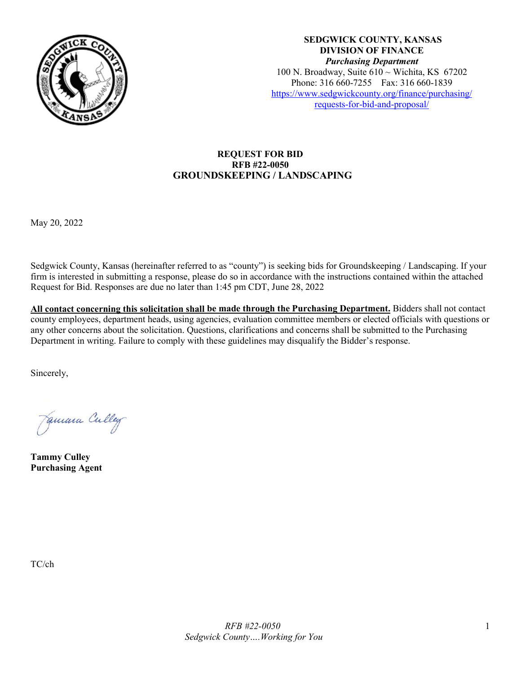

**SEDGWICK COUNTY, KANSAS DIVISION OF FINANCE** *Purchasing Department* 100 N. Broadway, Suite  $610 \sim$  Wichita, KS 67202 Phone: 316 660-7255 Fax: 316 660-1839 [https://www.sedgwickcounty.org/finance/purchasing/](https://www.sedgwickcounty.org/finance/purchasing/requests-for-bid-and-proposal/)  [requests-for-bid-and-proposal/](https://www.sedgwickcounty.org/finance/purchasing/requests-for-bid-and-proposal/)

## **REQUEST FOR BID RFB #22-0050 GROUNDSKEEPING / LANDSCAPING**

May 20, 2022

Sedgwick County, Kansas (hereinafter referred to as "county") is seeking bids for Groundskeeping / Landscaping. If your firm is interested in submitting a response, please do so in accordance with the instructions contained within the attached Request for Bid. Responses are due no later than 1:45 pm CDT, June 28, 2022

**All contact concerning this solicitation shall be made through the Purchasing Department.** Bidders shall not contact county employees, department heads, using agencies, evaluation committee members or elected officials with questions or any other concerns about the solicitation. Questions, clarifications and concerns shall be submitted to the Purchasing Department in writing. Failure to comply with these guidelines may disqualify the Bidder's response.

Sincerely,

Jamara Culley

**Tammy Culley Purchasing Agent**

TC/ch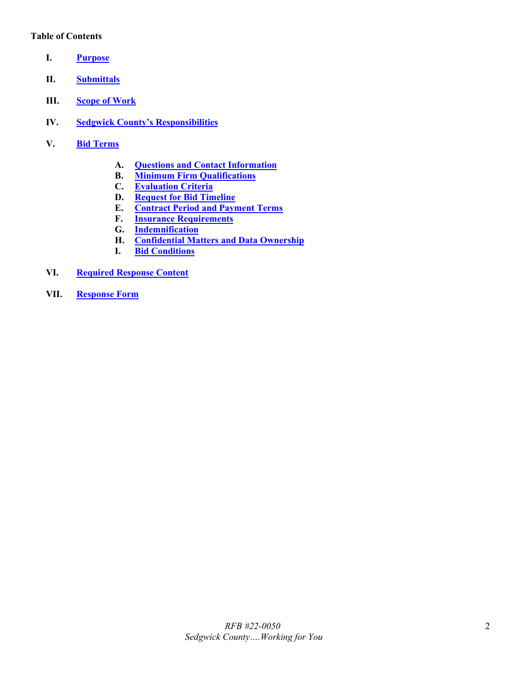#### **Table of Contents**

- <span id="page-1-0"></span>**I. [Purpose](#page-2-0)**
- <span id="page-1-1"></span>**II. [Submittals](#page-2-1)**
- <span id="page-1-2"></span>**III. [Scope of Work](#page-2-2)**
- <span id="page-1-3"></span>**IV. [Sedgwick County's Responsibilities](#page-3-0)**
- <span id="page-1-9"></span><span id="page-1-8"></span><span id="page-1-7"></span><span id="page-1-6"></span><span id="page-1-5"></span><span id="page-1-4"></span>**V. Bid [Terms](#page-3-1)**
	- **A. [Questions and Contact Information](#page-3-2)**
	- **B. [Minimum Firm Qualifications](#page-3-3)**
	- **C. [Evaluation Criteria](#page-4-0)**
	- **D. [Request for Bid](#page-4-1) Timeline**
	- **E. [Contract Period and Payment Terms](#page-4-2)**
	- **F. [Insurance Requirements](#page-4-3)**
	- **G. [Indemnification](#page-5-0)**
	- **H. [Confidential Matters and Data Ownership](#page-6-0)**
	- **I. [Bid Conditions](#page-6-1)**
- <span id="page-1-14"></span><span id="page-1-13"></span><span id="page-1-12"></span><span id="page-1-11"></span><span id="page-1-10"></span>**VI. [Required Response Content](#page-6-2)**
- <span id="page-1-15"></span>**VII. [Response Form](#page-7-0)**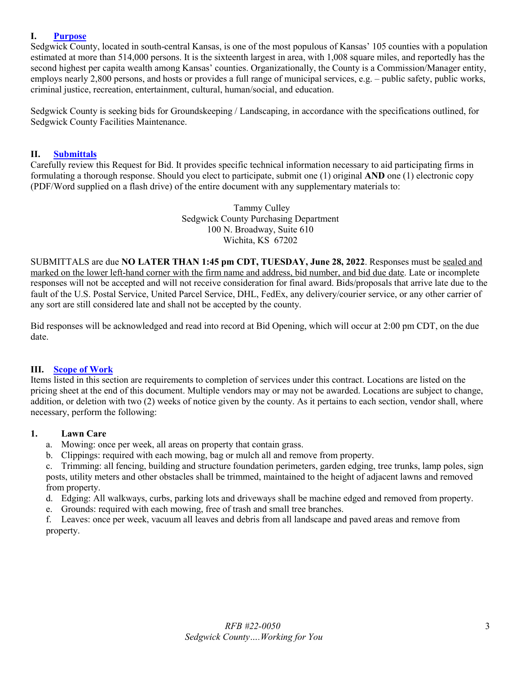#### <span id="page-2-0"></span>**I. [Purpose](#page-1-0)**

Sedgwick County, located in south-central Kansas, is one of the most populous of Kansas' 105 counties with a population estimated at more than 514,000 persons. It is the sixteenth largest in area, with 1,008 square miles, and reportedly has the second highest per capita wealth among Kansas' counties. Organizationally, the County is a Commission/Manager entity, employs nearly 2,800 persons, and hosts or provides a full range of municipal services, e.g. – public safety, public works, criminal justice, recreation, entertainment, cultural, human/social, and education.

Sedgwick County is seeking bids for Groundskeeping / Landscaping, in accordance with the specifications outlined, for Sedgwick County Facilities Maintenance.

#### <span id="page-2-1"></span>**II. [Submittals](#page-1-1)**

Carefully review this Request for Bid. It provides specific technical information necessary to aid participating firms in formulating a thorough response. Should you elect to participate, submit one (1) original **AND** one (1) electronic copy (PDF/Word supplied on a flash drive) of the entire document with any supplementary materials to:

> Tammy Culley Sedgwick County Purchasing Department 100 N. Broadway, Suite 610 Wichita, KS 67202

SUBMITTALS are due **NO LATER THAN 1:45 pm CDT, TUESDAY, June 28, 2022**. Responses must be sealed and marked on the lower left-hand corner with the firm name and address, bid number, and bid due date. Late or incomplete responses will not be accepted and will not receive consideration for final award. Bids/proposals that arrive late due to the fault of the U.S. Postal Service, United Parcel Service, DHL, FedEx, any delivery/courier service, or any other carrier of any sort are still considered late and shall not be accepted by the county.

Bid responses will be acknowledged and read into record at Bid Opening, which will occur at 2:00 pm CDT, on the due date.

#### <span id="page-2-2"></span>**III. [Scope of Work](#page-1-2)**

Items listed in this section are requirements to completion of services under this contract. Locations are listed on the pricing sheet at the end of this document. Multiple vendors may or may not be awarded. Locations are subject to change, addition, or deletion with two (2) weeks of notice given by the county. As it pertains to each section, vendor shall, where necessary, perform the following:

#### **1. Lawn Care**

- a. Mowing: once per week, all areas on property that contain grass.
- b. Clippings: required with each mowing, bag or mulch all and remove from property.

c. Trimming: all fencing, building and structure foundation perimeters, garden edging, tree trunks, lamp poles, sign posts, utility meters and other obstacles shall be trimmed, maintained to the height of adjacent lawns and removed from property.

- d. Edging: All walkways, curbs, parking lots and driveways shall be machine edged and removed from property.
- e. Grounds: required with each mowing, free of trash and small tree branches.

f. Leaves: once per week, vacuum all leaves and debris from all landscape and paved areas and remove from property.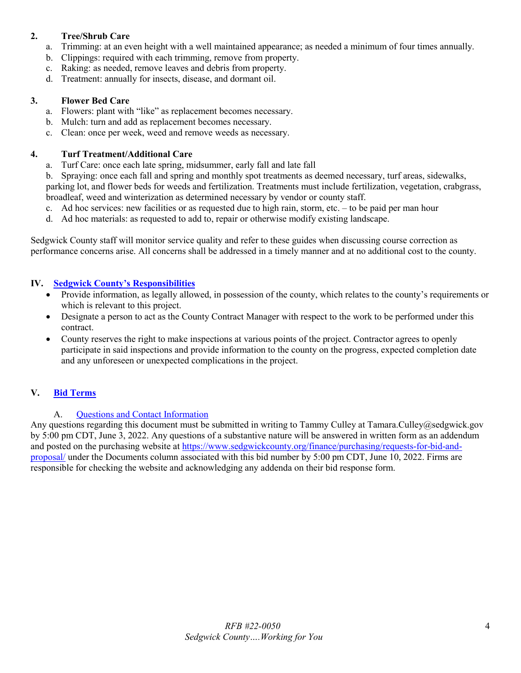## **2. Tree/Shrub Care**

- a. Trimming: at an even height with a well maintained appearance; as needed a minimum of four times annually.
- b. Clippings: required with each trimming, remove from property.
- c. Raking: as needed, remove leaves and debris from property.
- d. Treatment: annually for insects, disease, and dormant oil.

## **3. Flower Bed Care**

- a. Flowers: plant with "like" as replacement becomes necessary.
- b. Mulch: turn and add as replacement becomes necessary.
- c. Clean: once per week, weed and remove weeds as necessary.

#### **4. Turf Treatment/Additional Care**

- a. Turf Care: once each late spring, midsummer, early fall and late fall
- b. Spraying: once each fall and spring and monthly spot treatments as deemed necessary, turf areas, sidewalks,

parking lot, and flower beds for weeds and fertilization. Treatments must include fertilization, vegetation, crabgrass, broadleaf, weed and winterization as determined necessary by vendor or county staff.

- c. Ad hoc services: new facilities or as requested due to high rain, storm, etc. to be paid per man hour
- d. Ad hoc materials: as requested to add to, repair or otherwise modify existing landscape.

Sedgwick County staff will monitor service quality and refer to these guides when discussing course correction as performance concerns arise. All concerns shall be addressed in a timely manner and at no additional cost to the county.

## <span id="page-3-0"></span>**IV. [Sedgwick County's Responsibilities](#page-1-3)**

- Provide information, as legally allowed, in possession of the county, which relates to the county's requirements or which is relevant to this project.
- Designate a person to act as the County Contract Manager with respect to the work to be performed under this contract.
- County reserves the right to make inspections at various points of the project. Contractor agrees to openly participate in said inspections and provide information to the county on the progress, expected completion date and any unforeseen or unexpected complications in the project.

## <span id="page-3-1"></span>**V. Bid [Terms](#page-1-4)**

# A. [Questions and Contact Information](#page-1-5)

<span id="page-3-3"></span><span id="page-3-2"></span>Any questions regarding this document must be submitted in writing to Tammy Culley at Tamara.Culley@sedgwick.gov by 5:00 pm CDT, June 3, 2022. Any questions of a substantive nature will be answered in written form as an addendum and posted on the purchasing website at [https://www.sedgwickcounty.org/finance/purchasing/requests-for-bid-and](https://www.sedgwickcounty.org/finance/purchasing/requests-for-bid-and-proposal/)[proposal/](https://www.sedgwickcounty.org/finance/purchasing/requests-for-bid-and-proposal/) under the Documents column associated with this bid number by 5:00 pm CDT, June 10, 2022. Firms are responsible for checking the website and acknowledging any addenda on their bid response form.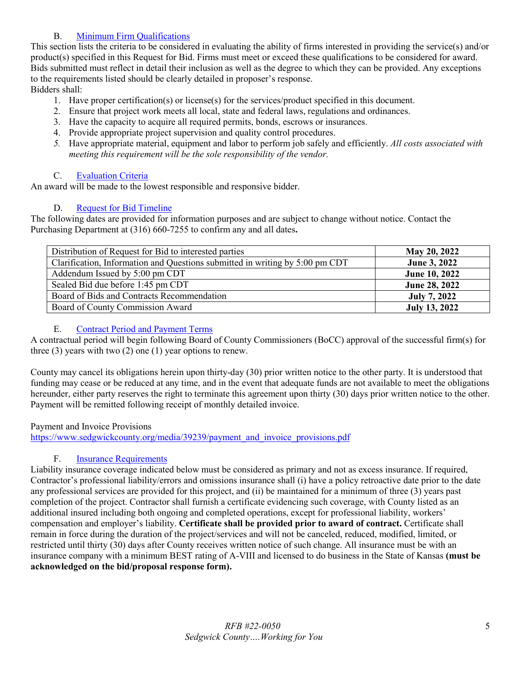# B. [Minimum Firm Qualifications](#page-1-6)

This section lists the criteria to be considered in evaluating the ability of firms interested in providing the service(s) and/or product(s) specified in this Request for Bid. Firms must meet or exceed these qualifications to be considered for award. Bids submitted must reflect in detail their inclusion as well as the degree to which they can be provided. Any exceptions to the requirements listed should be clearly detailed in proposer's response.

Bidders shall:

- 1. Have proper certification(s) or license(s) for the services/product specified in this document.
- 2. Ensure that project work meets all local, state and federal laws, regulations and ordinances.
- 3. Have the capacity to acquire all required permits, bonds, escrows or insurances.
- 4. Provide appropriate project supervision and quality control procedures.
- *5.* Have appropriate material, equipment and labor to perform job safely and efficiently. *All costs associated with meeting this requirement will be the sole responsibility of the vendor.*

# C. [Evaluation Criteria](#page-1-7)

<span id="page-4-0"></span>An award will be made to the lowest responsible and responsive bidder.

# D. [Request for Bid](#page-1-8) Timeline

<span id="page-4-1"></span>The following dates are provided for information purposes and are subject to change without notice. Contact the Purchasing Department at (316) 660-7255 to confirm any and all dates**.** 

| Distribution of Request for Bid to interested parties                        | May 20, 2022         |
|------------------------------------------------------------------------------|----------------------|
| Clarification, Information and Questions submitted in writing by 5:00 pm CDT | <b>June 3, 2022</b>  |
| Addendum Issued by 5:00 pm CDT                                               | June 10, 2022        |
| Sealed Bid due before 1:45 pm CDT                                            | June 28, 2022        |
| Board of Bids and Contracts Recommendation                                   | July 7, 2022         |
| Board of County Commission Award                                             | <b>July 13, 2022</b> |

# E. [Contract Period and Payment Terms](#page-1-9)

<span id="page-4-2"></span>A contractual period will begin following Board of County Commissioners (BoCC) approval of the successful firm(s) for three (3) years with two (2) one (1) year options to renew.

County may cancel its obligations herein upon thirty-day (30) prior written notice to the other party. It is understood that funding may cease or be reduced at any time, and in the event that adequate funds are not available to meet the obligations hereunder, either party reserves the right to terminate this agreement upon thirty (30) days prior written notice to the other. Payment will be remitted following receipt of monthly detailed invoice.

## Payment and Invoice Provisions

[https://www.sedgwickcounty.org/media/39239/payment\\_and\\_invoice\\_provisions.pdf](https://www.sedgwickcounty.org/media/39239/payment_and_invoice_provisions.pdf)

## F. [Insurance Requirements](#page-1-10)

<span id="page-4-3"></span>Liability insurance coverage indicated below must be considered as primary and not as excess insurance. If required, Contractor's professional liability/errors and omissions insurance shall (i) have a policy retroactive date prior to the date any professional services are provided for this project, and (ii) be maintained for a minimum of three (3) years past completion of the project. Contractor shall furnish a certificate evidencing such coverage, with County listed as an additional insured including both ongoing and completed operations, except for professional liability, workers' compensation and employer's liability. **Certificate shall be provided prior to award of contract.** Certificate shall remain in force during the duration of the project/services and will not be canceled, reduced, modified, limited, or restricted until thirty (30) days after County receives written notice of such change. All insurance must be with an insurance company with a minimum BEST rating of A-VIII and licensed to do business in the State of Kansas **(must be acknowledged on the bid/proposal response form).**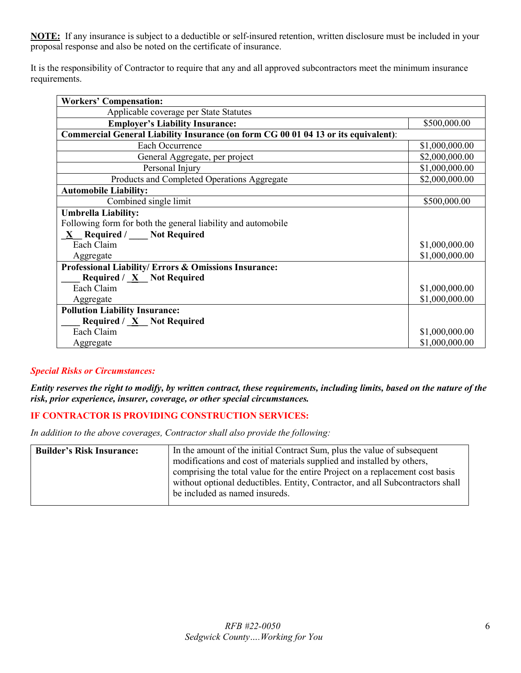**NOTE:** If any insurance is subject to a deductible or self-insured retention, written disclosure must be included in your proposal response and also be noted on the certificate of insurance.

It is the responsibility of Contractor to require that any and all approved subcontractors meet the minimum insurance requirements.

| <b>Workers' Compensation:</b>                                                      |                |
|------------------------------------------------------------------------------------|----------------|
| Applicable coverage per State Statutes                                             |                |
| <b>Employer's Liability Insurance:</b>                                             | \$500,000.00   |
| Commercial General Liability Insurance (on form CG 00 01 04 13 or its equivalent): |                |
| Each Occurrence                                                                    | \$1,000,000.00 |
| General Aggregate, per project                                                     | \$2,000,000.00 |
| Personal Injury                                                                    | \$1,000,000.00 |
| Products and Completed Operations Aggregate                                        | \$2,000,000.00 |
| <b>Automobile Liability:</b>                                                       |                |
| Combined single limit                                                              | \$500,000.00   |
| <b>Umbrella Liability:</b>                                                         |                |
| Following form for both the general liability and automobile                       |                |
| $\underline{X}$ Required / Not Required                                            |                |
| Each Claim                                                                         | \$1,000,000.00 |
| Aggregate                                                                          | \$1,000,000.00 |
| Professional Liability/ Errors & Omissions Insurance:                              |                |
| <b>Required / <math>\underline{X}</math></b> Not Required                          |                |
| Each Claim                                                                         | \$1,000,000.00 |
| Aggregate                                                                          | \$1,000,000.00 |
| <b>Pollution Liability Insurance:</b>                                              |                |
| <b>Required</b> / $\underline{X}$ Not Required                                     |                |
| Each Claim                                                                         | \$1,000,000.00 |
| Aggregate                                                                          | \$1,000,000.00 |

## *Special Risks or Circumstances:*

*Entity reserves the right to modify, by written contract, these requirements, including limits, based on the nature of the risk, prior experience, insurer, coverage, or other special circumstances.*

## **IF CONTRACTOR IS PROVIDING CONSTRUCTION SERVICES:**

*In addition to the above coverages, Contractor shall also provide the following:*

<span id="page-5-0"></span>

| <b>Builder's Risk Insurance:</b> | In the amount of the initial Contract Sum, plus the value of subsequent        |
|----------------------------------|--------------------------------------------------------------------------------|
|                                  | modifications and cost of materials supplied and installed by others,          |
|                                  | comprising the total value for the entire Project on a replacement cost basis  |
|                                  | without optional deductibles. Entity, Contractor, and all Subcontractors shall |
|                                  | be included as named insureds.                                                 |
|                                  |                                                                                |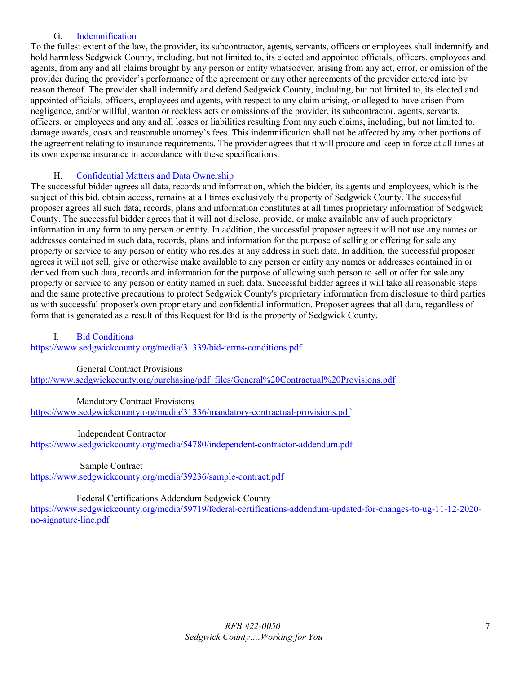## G. [Indemnification](#page-1-11)

To the fullest extent of the law, the provider, its subcontractor, agents, servants, officers or employees shall indemnify and hold harmless Sedgwick County, including, but not limited to, its elected and appointed officials, officers, employees and agents, from any and all claims brought by any person or entity whatsoever, arising from any act, error, or omission of the provider during the provider's performance of the agreement or any other agreements of the provider entered into by reason thereof. The provider shall indemnify and defend Sedgwick County, including, but not limited to, its elected and appointed officials, officers, employees and agents, with respect to any claim arising, or alleged to have arisen from negligence, and/or willful, wanton or reckless acts or omissions of the provider, its subcontractor, agents, servants, officers, or employees and any and all losses or liabilities resulting from any such claims, including, but not limited to, damage awards, costs and reasonable attorney's fees. This indemnification shall not be affected by any other portions of the agreement relating to insurance requirements. The provider agrees that it will procure and keep in force at all times at its own expense insurance in accordance with these specifications.

# H. [Confidential Matters and Data Ownership](#page-1-12)

<span id="page-6-0"></span>The successful bidder agrees all data, records and information, which the bidder, its agents and employees, which is the subject of this bid, obtain access, remains at all times exclusively the property of Sedgwick County. The successful proposer agrees all such data, records, plans and information constitutes at all times proprietary information of Sedgwick County. The successful bidder agrees that it will not disclose, provide, or make available any of such proprietary information in any form to any person or entity. In addition, the successful proposer agrees it will not use any names or addresses contained in such data, records, plans and information for the purpose of selling or offering for sale any property or service to any person or entity who resides at any address in such data. In addition, the successful proposer agrees it will not sell, give or otherwise make available to any person or entity any names or addresses contained in or derived from such data, records and information for the purpose of allowing such person to sell or offer for sale any property or service to any person or entity named in such data. Successful bidder agrees it will take all reasonable steps and the same protective precautions to protect Sedgwick County's proprietary information from disclosure to third parties as with successful proposer's own proprietary and confidential information. Proposer agrees that all data, regardless of form that is generated as a result of this Request for Bid is the property of Sedgwick County.

#### <span id="page-6-1"></span>I. [Bid Conditions](#page-1-13)

<https://www.sedgwickcounty.org/media/31339/bid-terms-conditions.pdf>

#### General Contract Provisions

[http://www.sedgwickcounty.org/purchasing/pdf\\_files/General%20Contractual%20Provisions.pdf](https://www.sedgwickcounty.org/media/31337/general-contractual-provisions.pdf) 

## Mandatory Contract Provisions

<https://www.sedgwickcounty.org/media/31336/mandatory-contractual-provisions.pdf>

#### Independent Contractor

<https://www.sedgwickcounty.org/media/54780/independent-contractor-addendum.pdf>

#### Sample Contract

<https://www.sedgwickcounty.org/media/39236/sample-contract.pdf>

## Federal Certifications Addendum Sedgwick County

<span id="page-6-2"></span>[https://www.sedgwickcounty.org/media/59719/federal-certifications-addendum-updated-for-changes-to-ug-11-12-2020](https://www.sedgwickcounty.org/media/59719/federal-certifications-addendum-updated-for-changes-to-ug-11-12-2020-no-signature-line.pdf) [no-signature-line.pdf](https://www.sedgwickcounty.org/media/59719/federal-certifications-addendum-updated-for-changes-to-ug-11-12-2020-no-signature-line.pdf)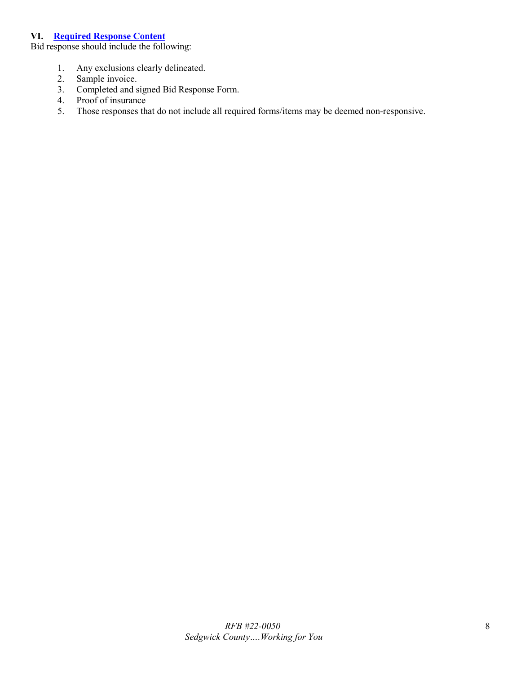#### **VI. [Required Response Content](#page-1-14)**

Bid response should include the following:

- 1. Any exclusions clearly delineated.
- 2. Sample invoice.
- 3. Completed and signed Bid Response Form.
- 4. Proof of insurance
- <span id="page-7-0"></span>5. Those responses that do not include all required forms/items may be deemed non-responsive.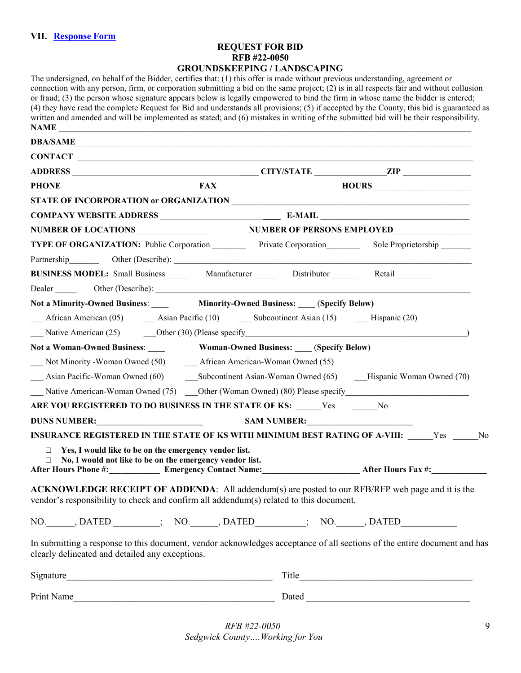## **REQUEST FOR BID RFB #22-0050 GROUNDSKEEPING / LANDSCAPING**

| The undersigned, on behalf of the Bidder, certifies that: (1) this offer is made without previous understanding, agreement or<br>connection with any person, firm, or corporation submitting a bid on the same project; $(2)$ is in all respects fair and without collusion<br>or fraud; (3) the person whose signature appears below is legally empowered to bind the firm in whose name the bidder is entered;<br>(4) they have read the complete Request for Bid and understands all provisions; (5) if accepted by the County, this bid is guaranteed as<br>written and amended and will be implemented as stated; and (6) mistakes in writing of the submitted bid will be their responsibility.<br>NAME |                                              |                                                                                                                                                                                                                               |  |
|---------------------------------------------------------------------------------------------------------------------------------------------------------------------------------------------------------------------------------------------------------------------------------------------------------------------------------------------------------------------------------------------------------------------------------------------------------------------------------------------------------------------------------------------------------------------------------------------------------------------------------------------------------------------------------------------------------------|----------------------------------------------|-------------------------------------------------------------------------------------------------------------------------------------------------------------------------------------------------------------------------------|--|
| DBA/SAME                                                                                                                                                                                                                                                                                                                                                                                                                                                                                                                                                                                                                                                                                                      |                                              |                                                                                                                                                                                                                               |  |
|                                                                                                                                                                                                                                                                                                                                                                                                                                                                                                                                                                                                                                                                                                               |                                              |                                                                                                                                                                                                                               |  |
|                                                                                                                                                                                                                                                                                                                                                                                                                                                                                                                                                                                                                                                                                                               |                                              |                                                                                                                                                                                                                               |  |
| PHONE FAX HOURS                                                                                                                                                                                                                                                                                                                                                                                                                                                                                                                                                                                                                                                                                               |                                              |                                                                                                                                                                                                                               |  |
|                                                                                                                                                                                                                                                                                                                                                                                                                                                                                                                                                                                                                                                                                                               |                                              |                                                                                                                                                                                                                               |  |
|                                                                                                                                                                                                                                                                                                                                                                                                                                                                                                                                                                                                                                                                                                               |                                              |                                                                                                                                                                                                                               |  |
| NUMBER OF LOCATIONS NUMBER OF PERSONS EMPLOYED                                                                                                                                                                                                                                                                                                                                                                                                                                                                                                                                                                                                                                                                |                                              |                                                                                                                                                                                                                               |  |
| TYPE OF ORGANIZATION: Public Corporation Private Corporation Sole Proprietorship                                                                                                                                                                                                                                                                                                                                                                                                                                                                                                                                                                                                                              |                                              |                                                                                                                                                                                                                               |  |
| Partnership Other (Describe): Cheren Constantine Constantine Constantine Constantine Constantine Constantine Constantine Constantine Constantine Constantine Constantine Constantine Constantine Constantine Constantine Const                                                                                                                                                                                                                                                                                                                                                                                                                                                                                |                                              |                                                                                                                                                                                                                               |  |
| <b>BUSINESS MODEL:</b> Small Business Manufacturer Distributor Retail                                                                                                                                                                                                                                                                                                                                                                                                                                                                                                                                                                                                                                         |                                              |                                                                                                                                                                                                                               |  |
|                                                                                                                                                                                                                                                                                                                                                                                                                                                                                                                                                                                                                                                                                                               |                                              |                                                                                                                                                                                                                               |  |
| Not a Minority-Owned Business: Minority-Owned Business: (Specify Below)                                                                                                                                                                                                                                                                                                                                                                                                                                                                                                                                                                                                                                       |                                              |                                                                                                                                                                                                                               |  |
| African American (05) <b>Asian Pacific (10) Subcontinent Asian (15) __</b> Hispanic (20)                                                                                                                                                                                                                                                                                                                                                                                                                                                                                                                                                                                                                      |                                              |                                                                                                                                                                                                                               |  |
| Native American (25) Other (30) (Please specify Mathematic American Control of American Control of American Co                                                                                                                                                                                                                                                                                                                                                                                                                                                                                                                                                                                                |                                              |                                                                                                                                                                                                                               |  |
| Not a Woman-Owned Business:                                                                                                                                                                                                                                                                                                                                                                                                                                                                                                                                                                                                                                                                                   | <b>Woman-Owned Business:</b> (Specify Below) |                                                                                                                                                                                                                               |  |
|                                                                                                                                                                                                                                                                                                                                                                                                                                                                                                                                                                                                                                                                                                               |                                              |                                                                                                                                                                                                                               |  |
| Asian Pacific-Woman Owned (60) Subcontinent Asian-Woman Owned (65) Hispanic Woman Owned (70)                                                                                                                                                                                                                                                                                                                                                                                                                                                                                                                                                                                                                  |                                              |                                                                                                                                                                                                                               |  |
| Native American-Woman Owned (75) Cther (Woman Owned) (80) Please specify                                                                                                                                                                                                                                                                                                                                                                                                                                                                                                                                                                                                                                      |                                              |                                                                                                                                                                                                                               |  |
| ARE YOU REGISTERED TO DO BUSINESS IN THE STATE OF KS: Yes No                                                                                                                                                                                                                                                                                                                                                                                                                                                                                                                                                                                                                                                  |                                              |                                                                                                                                                                                                                               |  |
| <b>DUNS NUMBER:</b> SAM NUMBER:                                                                                                                                                                                                                                                                                                                                                                                                                                                                                                                                                                                                                                                                               |                                              |                                                                                                                                                                                                                               |  |
| INSURANCE REGISTERED IN THE STATE OF KS WITH MINIMUM BEST RATING OF A-VIII: Yes No                                                                                                                                                                                                                                                                                                                                                                                                                                                                                                                                                                                                                            |                                              |                                                                                                                                                                                                                               |  |
| $\Box$ Yes, I would like to be on the emergency vendor list.<br>$\Box$ No, I would not like to be on the emergency vendor list.<br>After Hours Phone #: Emergency Contact Name: After Hours Fax #:                                                                                                                                                                                                                                                                                                                                                                                                                                                                                                            |                                              |                                                                                                                                                                                                                               |  |
| ACKNOWLEDGE RECEIPT OF ADDENDA: All addendum(s) are posted to our RFB/RFP web page and it is the<br>vendor's responsibility to check and confirm all addendum(s) related to this document.                                                                                                                                                                                                                                                                                                                                                                                                                                                                                                                    |                                              |                                                                                                                                                                                                                               |  |
| NO. _____, DATED _________; NO. _____, DATED ________; NO. _____, DATED _________                                                                                                                                                                                                                                                                                                                                                                                                                                                                                                                                                                                                                             |                                              |                                                                                                                                                                                                                               |  |
| In submitting a response to this document, vendor acknowledges acceptance of all sections of the entire document and has<br>clearly delineated and detailed any exceptions.                                                                                                                                                                                                                                                                                                                                                                                                                                                                                                                                   |                                              |                                                                                                                                                                                                                               |  |
|                                                                                                                                                                                                                                                                                                                                                                                                                                                                                                                                                                                                                                                                                                               |                                              |                                                                                                                                                                                                                               |  |
| Print Name                                                                                                                                                                                                                                                                                                                                                                                                                                                                                                                                                                                                                                                                                                    |                                              | Dated and the contract of the contract of the contract of the contract of the contract of the contract of the contract of the contract of the contract of the contract of the contract of the contract of the contract of the |  |